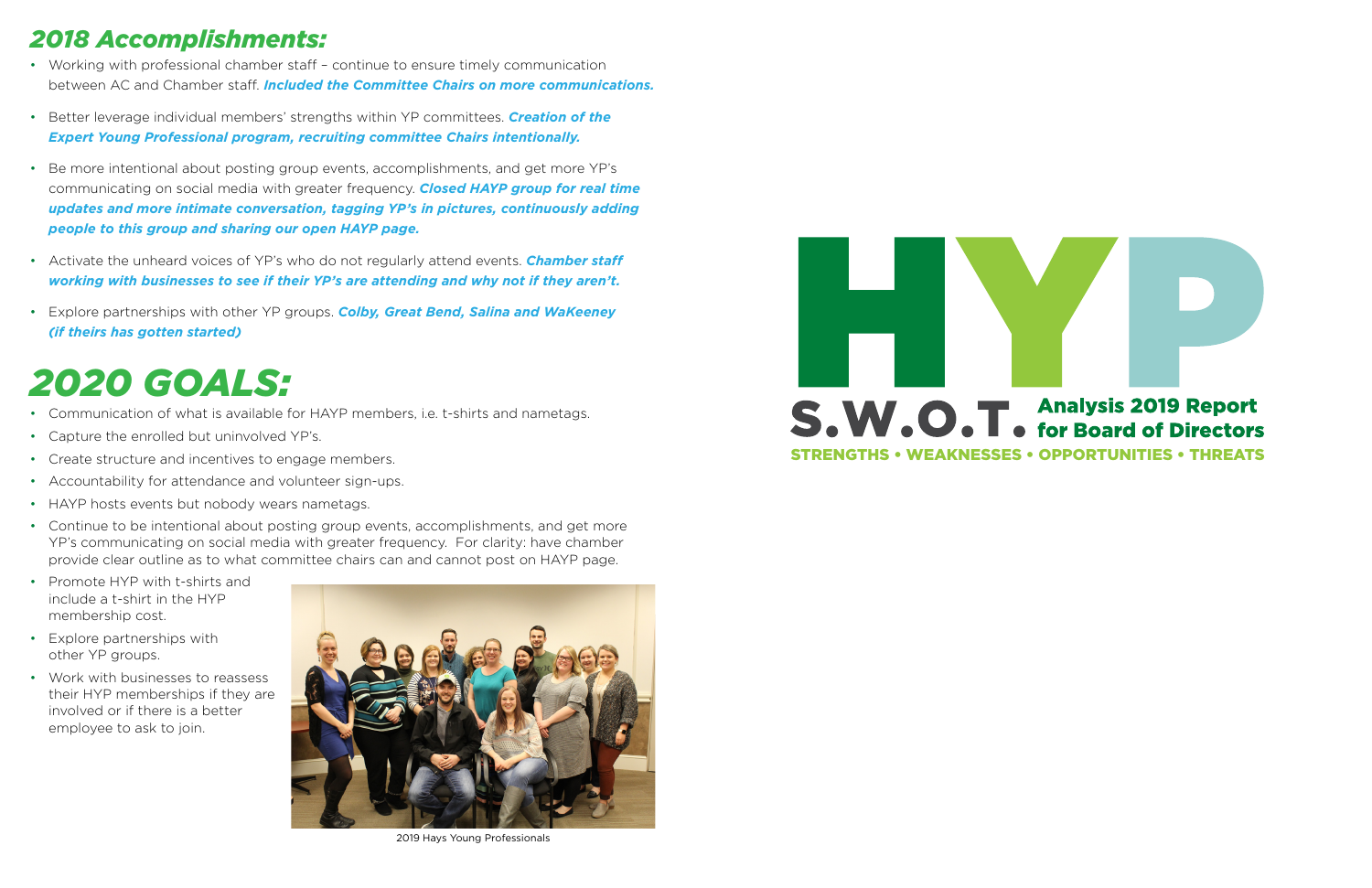- Working with professional chamber staff continue to ensure timely communication between AC and Chamber staff. *Included the Committee Chairs on more communications.*
- Better leverage individual members' strengths within YP committees. *Creation of the Expert Young Professional program, recruiting committee Chairs intentionally.*
- Be more intentional about posting group events, accomplishments, and get more YP's communicating on social media with greater frequency. *Closed HAYP group for real time updates and more intimate conversation, tagging YP's in pictures, continuously adding people to this group and sharing our open HAYP page.*
- Activate the unheard voices of YP's who do not regularly attend events. **Chamber staff**  *working with businesses to see if their YP's are attending and why not if they aren't.*
- Explore partnerships with other YP groups. *Colby, Great Bend, Salina and WaKeeney (if theirs has gotten started)*

#### *2018 Accomplishments:*

#### *2020 GOALS:*

- Communication of what is available for HAYP members, i.e. t-shirts and nametags.
- Capture the enrolled but uninvolved YP's.
- Create structure and incentives to engage members.
- Accountability for attendance and volunteer sign-ups.
- HAYP hosts events but nobody wears nametags.
- Continue to be intentional about posting group events, accomplishments, and get more YP's communicating on social media with greater frequency. For clarity: have chamber provide clear outline as to what committee chairs can and cannot post on HAYP page.
- Promote HYP with t-shirts and include a t-shirt in the HYP membership cost.
- Explore partnerships with other YP groups.
- Work with businesses to reassess their HYP memberships if they are involved or if there is a better employee to ask to join.



2019 Hays Young Professionals